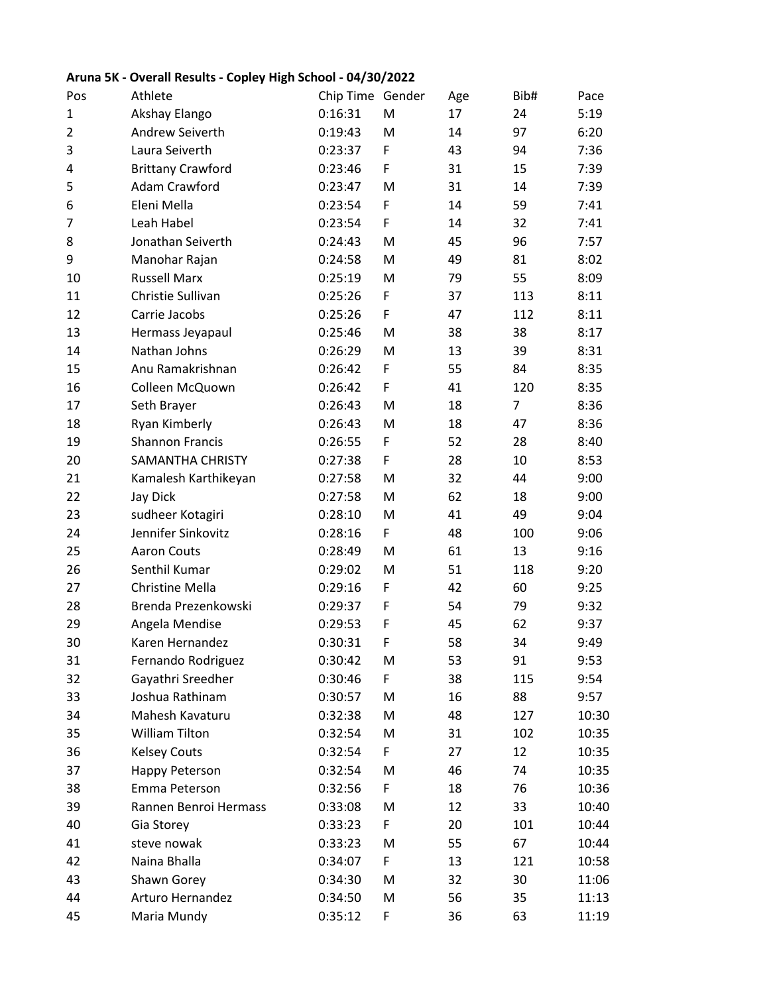## Pos Athlete Chip Time Gender Age Bib# Pace Akshay Elango 0:16:31 M 17 24 5:19 Andrew Seiverth 0:19:43 M 14 97 6:20 Laura Seiverth 0:23:37 F 43 94 7:36 Brittany Crawford 0:23:46 F 31 15 7:39 Adam Crawford 0:23:47 M 31 14 7:39 Eleni Mella 0:23:54 F 14 59 7:41 Leah Habel 0:23:54 F 14 32 7:41 Jonathan Seiverth 0:24:43 M 45 96 7:57 Manohar Rajan 0:24:58 M 49 81 8:02 Russell Marx 0:25:19 M 79 55 8:09 Christie Sullivan 0:25:26 F 37 113 8:11 Carrie Jacobs 0:25:26 F 47 112 8:11 Hermass Jeyapaul 0:25:46 M 38 38 8:17 Nathan Johns 0:26:29 M 13 39 8:31 Anu Ramakrishnan 0:26:42 F 55 84 8:35 Colleen McQuown 0:26:42 F 41 120 8:35 Seth Brayer 0:26:43 M 18 7 8:36 Ryan Kimberly 0:26:43 M 18 47 8:36 Shannon Francis 0:26:55 F 52 28 8:40 SAMANTHA CHRISTY 0:27:38 F 28 10 8:53 Kamalesh Karthikeyan 0:27:58 M 32 44 9:00 Jay Dick 0:27:58 M 62 18 9:00 sudheer Kotagiri 0:28:10 M 41 49 9:04 Jennifer Sinkovitz 0:28:16 F 48 100 9:06 Aaron Couts 0:28:49 M 61 13 9:16 Senthil Kumar 0:29:02 M 51 118 9:20 Christine Mella 0:29:16 F 42 60 9:25 Brenda Prezenkowski 0:29:37 F 54 79 9:32 Angela Mendise 0:29:53 F 45 62 9:37 Karen Hernandez 0:30:31 F 58 34 9:49 Fernando Rodriguez 0:30:42 M 53 91 9:53 Gayathri Sreedher 0:30:46 F 38 115 9:54 Joshua Rathinam 0:30:57 M 16 88 9:57 Mahesh Kavaturu 0:32:38 M 48 127 10:30 William Tilton 0:32:54 M 31 102 10:35 Kelsey Couts 0:32:54 F 27 12 10:35 Happy Peterson 0:32:54 M 46 74 10:35 Emma Peterson 0:32:56 F 18 76 10:36 Rannen Benroi Hermass 0:33:08 M 12 33 10:40 Gia Storey 0:33:23 F 20 101 10:44 steve nowak 0:33:23 M 55 67 10:44 Naina Bhalla 0:34:07 F 13 121 10:58 Shawn Gorey 0:34:30 M 32 30 11:06 Arturo Hernandez 0:34:50 M 56 35 11:13 Maria Mundy 0:35:12 F 36 63 11:19

## **Aruna 5K - Overall Results - Copley High School - 04/30/2022**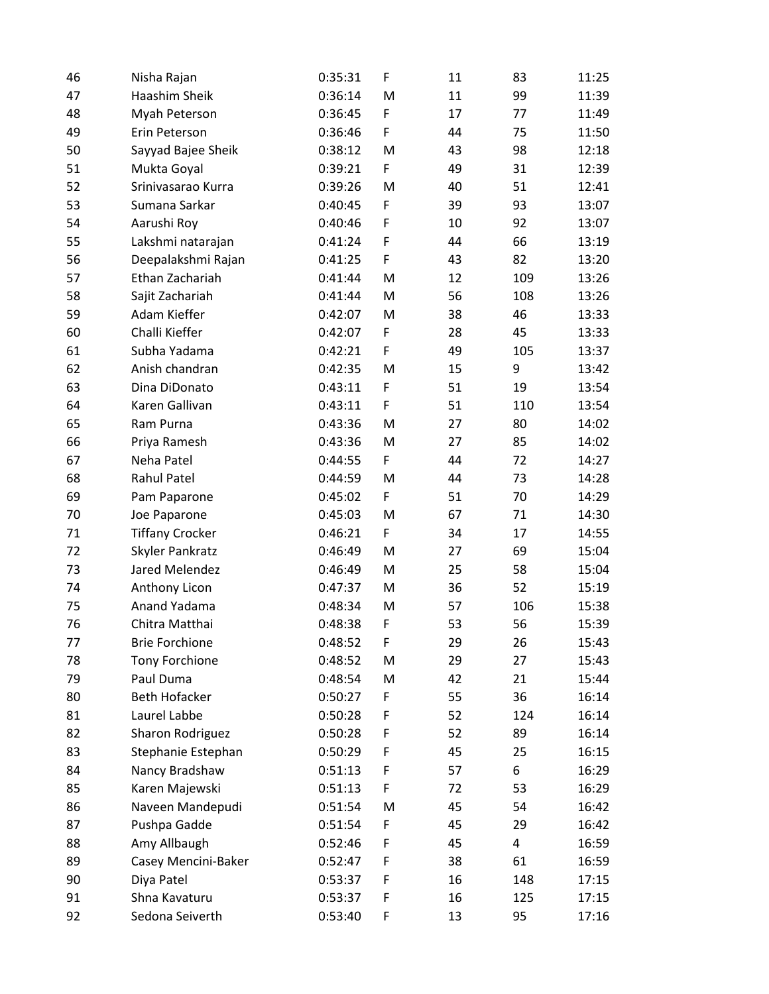| 46 | Nisha Rajan            | 0:35:31 | F | 11 | 83  | 11:25 |
|----|------------------------|---------|---|----|-----|-------|
| 47 | Haashim Sheik          | 0:36:14 | M | 11 | 99  | 11:39 |
| 48 | Myah Peterson          | 0:36:45 | F | 17 | 77  | 11:49 |
| 49 | Erin Peterson          | 0:36:46 | F | 44 | 75  | 11:50 |
| 50 | Sayyad Bajee Sheik     | 0:38:12 | M | 43 | 98  | 12:18 |
| 51 | Mukta Goyal            | 0:39:21 | F | 49 | 31  | 12:39 |
| 52 | Srinivasarao Kurra     | 0:39:26 | M | 40 | 51  | 12:41 |
| 53 | Sumana Sarkar          | 0:40:45 | F | 39 | 93  | 13:07 |
| 54 | Aarushi Roy            | 0:40:46 | F | 10 | 92  | 13:07 |
| 55 | Lakshmi natarajan      | 0:41:24 | F | 44 | 66  | 13:19 |
| 56 | Deepalakshmi Rajan     | 0:41:25 | F | 43 | 82  | 13:20 |
| 57 | Ethan Zachariah        | 0:41:44 | M | 12 | 109 | 13:26 |
| 58 | Sajit Zachariah        | 0:41:44 | M | 56 | 108 | 13:26 |
| 59 | Adam Kieffer           | 0:42:07 | M | 38 | 46  | 13:33 |
| 60 | Challi Kieffer         | 0:42:07 | F | 28 | 45  | 13:33 |
| 61 | Subha Yadama           | 0:42:21 | F | 49 | 105 | 13:37 |
| 62 | Anish chandran         | 0:42:35 | M | 15 | 9   | 13:42 |
| 63 | Dina DiDonato          | 0:43:11 | F | 51 | 19  | 13:54 |
| 64 | Karen Gallivan         | 0:43:11 | F | 51 | 110 | 13:54 |
| 65 | Ram Purna              | 0:43:36 | M | 27 | 80  | 14:02 |
| 66 | Priya Ramesh           | 0:43:36 | M | 27 | 85  | 14:02 |
| 67 | Neha Patel             | 0:44:55 | F | 44 | 72  | 14:27 |
| 68 | <b>Rahul Patel</b>     | 0:44:59 | M | 44 | 73  | 14:28 |
| 69 | Pam Paparone           | 0:45:02 | F | 51 | 70  | 14:29 |
| 70 | Joe Paparone           | 0:45:03 | M | 67 | 71  | 14:30 |
| 71 | <b>Tiffany Crocker</b> | 0:46:21 | F | 34 | 17  | 14:55 |
| 72 | Skyler Pankratz        | 0:46:49 | M | 27 | 69  | 15:04 |
| 73 | Jared Melendez         | 0:46:49 | M | 25 | 58  | 15:04 |
| 74 | Anthony Licon          | 0:47:37 | M | 36 | 52  | 15:19 |
| 75 | Anand Yadama           | 0:48:34 | M | 57 | 106 | 15:38 |
| 76 | Chitra Matthai         | 0:48:38 | F | 53 | 56  | 15:39 |
| 77 | <b>Brie Forchione</b>  | 0:48:52 | F | 29 | 26  | 15:43 |
| 78 | Tony Forchione         | 0:48:52 | M | 29 | 27  | 15:43 |
| 79 | Paul Duma              | 0:48:54 | M | 42 | 21  | 15:44 |
| 80 | <b>Beth Hofacker</b>   | 0:50:27 | F | 55 | 36  | 16:14 |
| 81 | Laurel Labbe           | 0:50:28 | F | 52 | 124 | 16:14 |
| 82 | Sharon Rodriguez       | 0:50:28 | F | 52 | 89  | 16:14 |
| 83 | Stephanie Estephan     | 0:50:29 | F | 45 | 25  | 16:15 |
| 84 | Nancy Bradshaw         | 0:51:13 | F | 57 | 6   | 16:29 |
| 85 | Karen Majewski         | 0:51:13 | F | 72 | 53  | 16:29 |
| 86 | Naveen Mandepudi       | 0:51:54 | M | 45 | 54  | 16:42 |
| 87 | Pushpa Gadde           | 0:51:54 | F | 45 | 29  | 16:42 |
| 88 | Amy Allbaugh           | 0:52:46 | F | 45 | 4   | 16:59 |
| 89 | Casey Mencini-Baker    | 0:52:47 | F | 38 | 61  | 16:59 |
| 90 | Diya Patel             | 0:53:37 | F | 16 | 148 | 17:15 |
| 91 | Shna Kavaturu          | 0:53:37 | F | 16 | 125 | 17:15 |
| 92 | Sedona Seiverth        | 0:53:40 | F | 13 | 95  | 17:16 |